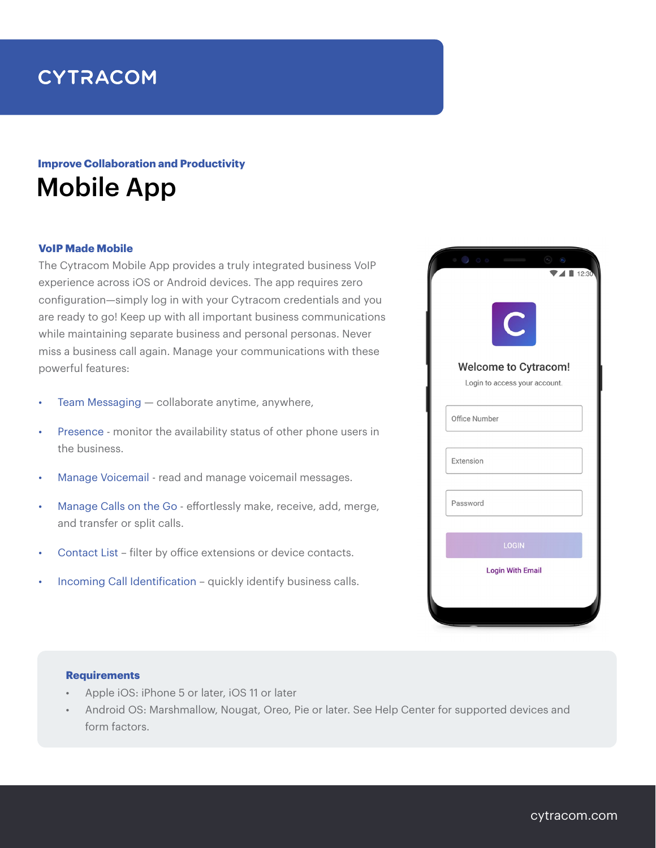# **CYTRACOM**

## Mobile App **Improve Collaboration and Productivity**

### **VoIP Made Mobile**

The Cytracom Mobile App provides a truly integrated business VoIP experience across iOS or Android devices. The app requires zero configuration—simply log in with your Cytracom credentials and you are ready to go! Keep up with all important business communications while maintaining separate business and personal personas. Never miss a business call again. Manage your communications with these powerful features:

- Team Messaging  $-$  collaborate anytime, anywhere,
- Presence monitor the availability status of other phone users in the business.
- Manage Voicemail read and manage voicemail messages.
- Manage Calls on the Go effortlessly make, receive, add, merge, and transfer or split calls.
- Contact List filter by office extensions or device contacts.
- Incoming Call Identification quickly identify business calls.

| $\circ$ 0 0 0<br>$\blacksquare$ 12:30<br>C                                    |
|-------------------------------------------------------------------------------|
| <b>Welcome to Cytracom!</b><br>Login to access your account.<br>Office Number |
| Extension                                                                     |
| Password<br>LOGIN                                                             |
| <b>Login With Email</b>                                                       |

#### **Requirements**

- Apple iOS: iPhone 5 or later, iOS 11 or later
- Android OS: Marshmallow, Nougat, Oreo, Pie or later. See Help Center for supported devices and form factors.